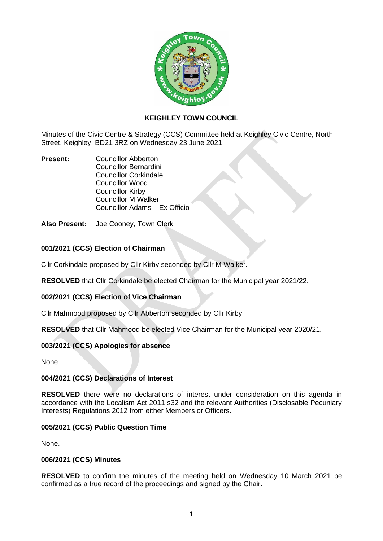

# **KEIGHLEY TOWN COUNCIL**

Minutes of the Civic Centre & Strategy (CCS) Committee held at Keighley Civic Centre, North Street, Keighley, BD21 3RZ on Wednesday 23 June 2021

**Present:** Councillor Abberton Councillor Bernardini Councillor Corkindale Councillor Wood Councillor Kirby Councillor M Walker Councillor Adams – Ex Officio

**Also Present:** Joe Cooney, Town Clerk

# **001/2021 (CCS) Election of Chairman**

Cllr Corkindale proposed by Cllr Kirby seconded by Cllr M Walker.

**RESOLVED** that Cllr Corkindale be elected Chairman for the Municipal year 2021/22.

# **002/2021 (CCS) Election of Vice Chairman**

Cllr Mahmood proposed by Cllr Abberton seconded by Cllr Kirby

**RESOLVED** that Cllr Mahmood be elected Vice Chairman for the Municipal year 2020/21.

# **003/2021 (CCS) Apologies for absence**

None

# **004/2021 (CCS) Declarations of Interest**

**RESOLVED** there were no declarations of interest under consideration on this agenda in accordance with the Localism Act 2011 s32 and the relevant Authorities (Disclosable Pecuniary Interests) Regulations 2012 from either Members or Officers.

#### **005/2021 (CCS) Public Question Time**

None.

#### **006/2021 (CCS) Minutes**

**RESOLVED** to confirm the minutes of the meeting held on Wednesday 10 March 2021 be confirmed as a true record of the proceedings and signed by the Chair.